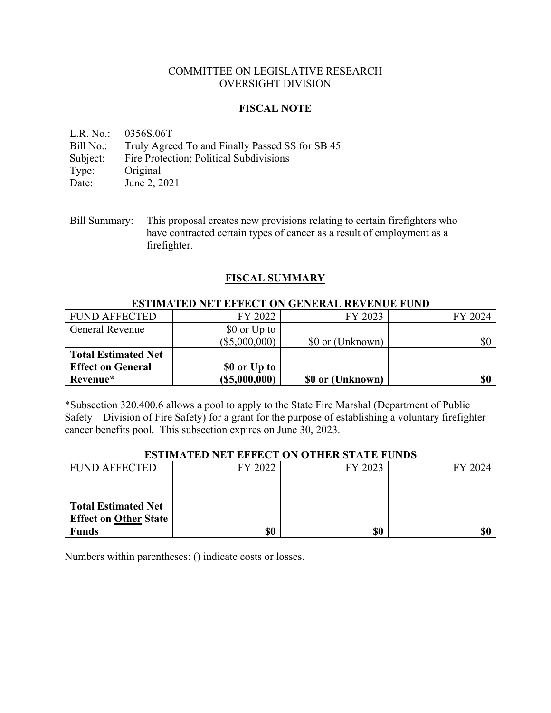### COMMITTEE ON LEGISLATIVE RESEARCH OVERSIGHT DIVISION

### **FISCAL NOTE**

L.R. No.: 0356S.06T Bill No.: Truly Agreed To and Finally Passed SS for SB 45 Subject: Fire Protection; Political Subdivisions Type: Original Date: June 2, 2021

Bill Summary: This proposal creates new provisions relating to certain firefighters who have contracted certain types of cancer as a result of employment as a firefighter.

### **FISCAL SUMMARY**

| <b>ESTIMATED NET EFFECT ON GENERAL REVENUE FUND</b> |                 |                  |         |  |
|-----------------------------------------------------|-----------------|------------------|---------|--|
| <b>FUND AFFECTED</b>                                | FY 2022         | FY 2023          | FY 2024 |  |
| <b>General Revenue</b>                              | \$0 or Up to    |                  |         |  |
|                                                     | $(\$5,000,000)$ | \$0 or (Unknown) | \$0     |  |
| <b>Total Estimated Net</b>                          |                 |                  |         |  |
| <b>Effect on General</b>                            | \$0 or Up to    |                  |         |  |
| Revenue*                                            | (S5,000,000)    | \$0 or (Unknown) | \$0     |  |

\*Subsection 320.400.6 allows a pool to apply to the State Fire Marshal (Department of Public Safety – Division of Fire Safety) for a grant for the purpose of establishing a voluntary firefighter cancer benefits pool. This subsection expires on June 30, 2023.

| <b>ESTIMATED NET EFFECT ON OTHER STATE FUNDS</b> |         |         |         |  |
|--------------------------------------------------|---------|---------|---------|--|
| <b>FUND AFFECTED</b>                             | FY 2022 | FY 2023 | FY 2024 |  |
|                                                  |         |         |         |  |
|                                                  |         |         |         |  |
| <b>Total Estimated Net</b>                       |         |         |         |  |
| <b>Effect on Other State</b>                     |         |         |         |  |
| Funds                                            | \$0     | S0      |         |  |

Numbers within parentheses: () indicate costs or losses.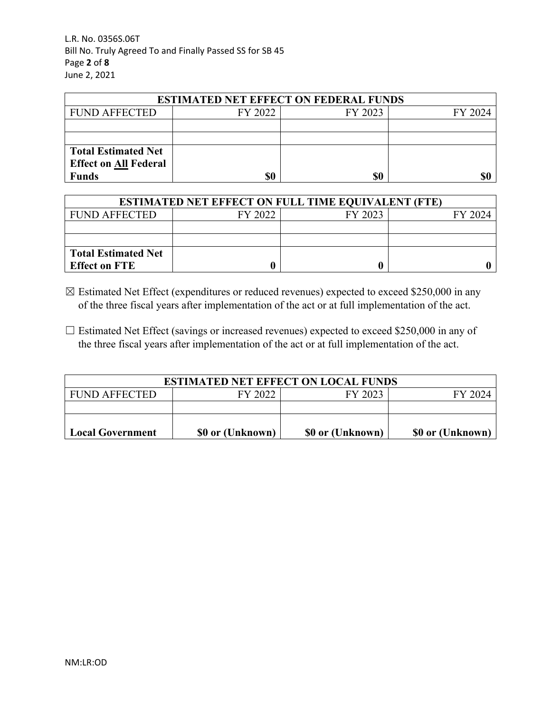L.R. No. 0356S.06T Bill No. Truly Agreed To and Finally Passed SS for SB 45 Page **2** of **8** June 2, 2021

| <b>ESTIMATED NET EFFECT ON FEDERAL FUNDS</b> |         |         |         |  |
|----------------------------------------------|---------|---------|---------|--|
| <b>FUND AFFECTED</b>                         | FY 2022 | FY 2023 | FY 2024 |  |
|                                              |         |         |         |  |
|                                              |         |         |         |  |
| <b>Total Estimated Net</b>                   |         |         |         |  |
| <b>Effect on All Federal</b>                 |         |         |         |  |
| <b>Funds</b>                                 | \$0     | \$0     |         |  |

| <b>ESTIMATED NET EFFECT ON FULL TIME EQUIVALENT (FTE)</b> |         |         |         |  |
|-----------------------------------------------------------|---------|---------|---------|--|
| <b>FUND AFFECTED</b>                                      | FY 2022 | FY 2023 | FY 2024 |  |
|                                                           |         |         |         |  |
|                                                           |         |         |         |  |
| <b>Total Estimated Net</b>                                |         |         |         |  |
| <b>Effect on FTE</b>                                      |         |         |         |  |

- $\boxtimes$  Estimated Net Effect (expenditures or reduced revenues) expected to exceed \$250,000 in any of the three fiscal years after implementation of the act or at full implementation of the act.
- $\Box$  Estimated Net Effect (savings or increased revenues) expected to exceed \$250,000 in any of the three fiscal years after implementation of the act or at full implementation of the act.

| <b>ESTIMATED NET EFFECT ON LOCAL FUNDS</b> |                  |                  |                  |
|--------------------------------------------|------------------|------------------|------------------|
| FUND AFFECTED                              | FY 2022          | FY 2023          | FY 2024          |
|                                            |                  |                  |                  |
|                                            |                  |                  |                  |
| <b>Local Government</b>                    | \$0 or (Unknown) | \$0 or (Unknown) | \$0 or (Unknown) |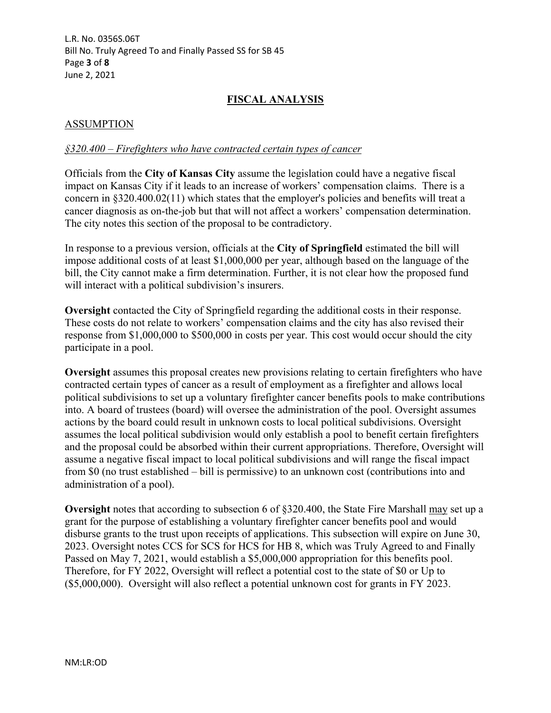L.R. No. 0356S.06T Bill No. Truly Agreed To and Finally Passed SS for SB 45 Page **3** of **8** June 2, 2021

# **FISCAL ANALYSIS**

# ASSUMPTION

#### *§320.400 – Firefighters who have contracted certain types of cancer*

Officials from the **City of Kansas City** assume the legislation could have a negative fiscal impact on Kansas City if it leads to an increase of workers' compensation claims. There is a concern in §320.400.02(11) which states that the employer's policies and benefits will treat a cancer diagnosis as on-the-job but that will not affect a workers' compensation determination. The city notes this section of the proposal to be contradictory.

In response to a previous version, officials at the **City of Springfield** estimated the bill will impose additional costs of at least \$1,000,000 per year, although based on the language of the bill, the City cannot make a firm determination. Further, it is not clear how the proposed fund will interact with a political subdivision's insurers.

**Oversight** contacted the City of Springfield regarding the additional costs in their response. These costs do not relate to workers' compensation claims and the city has also revised their response from \$1,000,000 to \$500,000 in costs per year. This cost would occur should the city participate in a pool.

**Oversight** assumes this proposal creates new provisions relating to certain firefighters who have contracted certain types of cancer as a result of employment as a firefighter and allows local political subdivisions to set up a voluntary firefighter cancer benefits pools to make contributions into. A board of trustees (board) will oversee the administration of the pool. Oversight assumes actions by the board could result in unknown costs to local political subdivisions. Oversight assumes the local political subdivision would only establish a pool to benefit certain firefighters and the proposal could be absorbed within their current appropriations. Therefore, Oversight will assume a negative fiscal impact to local political subdivisions and will range the fiscal impact from \$0 (no trust established – bill is permissive) to an unknown cost (contributions into and administration of a pool).

**Oversight** notes that according to subsection 6 of §320.400, the State Fire Marshall may set up a grant for the purpose of establishing a voluntary firefighter cancer benefits pool and would disburse grants to the trust upon receipts of applications. This subsection will expire on June 30, 2023. Oversight notes CCS for SCS for HCS for HB 8, which was Truly Agreed to and Finally Passed on May 7, 2021, would establish a \$5,000,000 appropriation for this benefits pool. Therefore, for FY 2022, Oversight will reflect a potential cost to the state of \$0 or Up to (\$5,000,000). Oversight will also reflect a potential unknown cost for grants in FY 2023.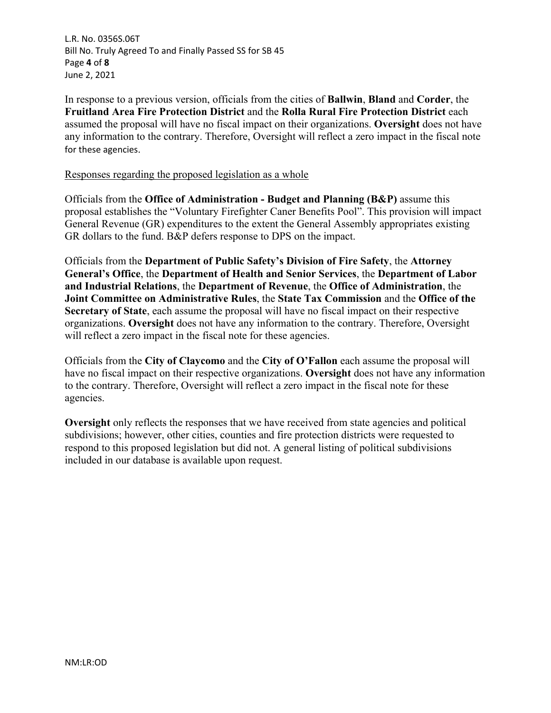L.R. No. 0356S.06T Bill No. Truly Agreed To and Finally Passed SS for SB 45 Page **4** of **8** June 2, 2021

In response to a previous version, officials from the cities of **Ballwin**, **Bland** and **Corder**, the **Fruitland Area Fire Protection District** and the **Rolla Rural Fire Protection District** each assumed the proposal will have no fiscal impact on their organizations. **Oversight** does not have any information to the contrary. Therefore, Oversight will reflect a zero impact in the fiscal note for these agencies.

#### Responses regarding the proposed legislation as a whole

Officials from the **Office of Administration - Budget and Planning (B&P)** assume this proposal establishes the "Voluntary Firefighter Caner Benefits Pool". This provision will impact General Revenue (GR) expenditures to the extent the General Assembly appropriates existing GR dollars to the fund. B&P defers response to DPS on the impact.

Officials from the **Department of Public Safety's Division of Fire Safety**, the **Attorney General's Office**, the **Department of Health and Senior Services**, the **Department of Labor and Industrial Relations**, the **Department of Revenue**, the **Office of Administration**, the **Joint Committee on Administrative Rules**, the **State Tax Commission** and the **Office of the Secretary of State**, each assume the proposal will have no fiscal impact on their respective organizations. **Oversight** does not have any information to the contrary. Therefore, Oversight will reflect a zero impact in the fiscal note for these agencies.

Officials from the **City of Claycomo** and the **City of O'Fallon** each assume the proposal will have no fiscal impact on their respective organizations. **Oversight** does not have any information to the contrary. Therefore, Oversight will reflect a zero impact in the fiscal note for these agencies.

**Oversight** only reflects the responses that we have received from state agencies and political subdivisions; however, other cities, counties and fire protection districts were requested to respond to this proposed legislation but did not. A general listing of political subdivisions included in our database is available upon request.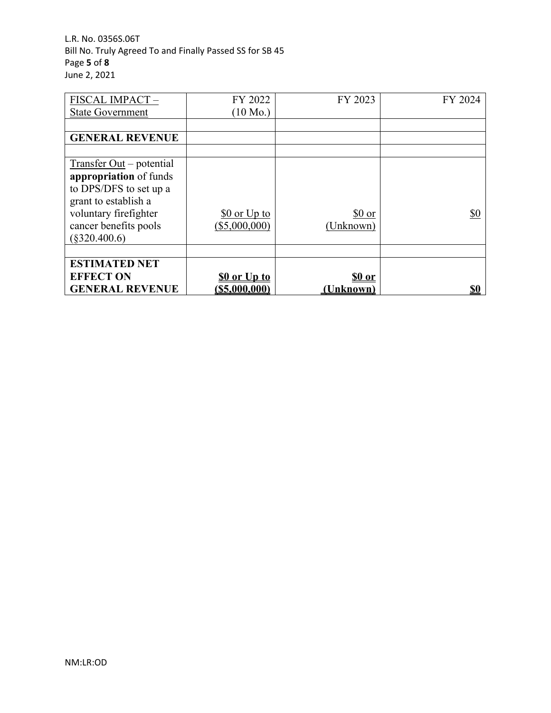L.R. No. 0356S.06T Bill No. Truly Agreed To and Finally Passed SS for SB 45 Page **5** of **8** June 2, 2021

| FISCAL IMPACT-             | FY 2022            | FY 2023   | FY 2024    |
|----------------------------|--------------------|-----------|------------|
| <b>State Government</b>    | $(10 \text{ Mo.})$ |           |            |
|                            |                    |           |            |
| <b>GENERAL REVENUE</b>     |                    |           |            |
|                            |                    |           |            |
| $Transfer Out - potential$ |                    |           |            |
| appropriation of funds     |                    |           |            |
| to DPS/DFS to set up a     |                    |           |            |
| grant to establish a       |                    |           |            |
| voluntary firefighter      | $$0$ or Up to      | \$0 or    | <u>\$0</u> |
| cancer benefits pools      | (\$5,000,000)      | (Unknown) |            |
| $(\$320.400.6)$            |                    |           |            |
|                            |                    |           |            |
| <b>ESTIMATED NET</b>       |                    |           |            |
| <b>EFFECT ON</b>           | \$0 or Up to       | \$0 or    |            |
| <b>GENERAL REVENUE</b>     | $($ \$5,000,000)   | (Unknown) | <u>\$0</u> |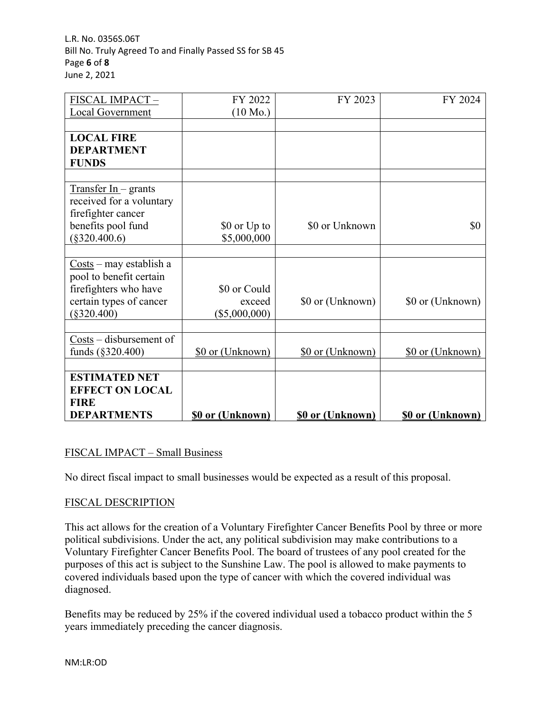L.R. No. 0356S.06T Bill No. Truly Agreed To and Finally Passed SS for SB 45 Page **6** of **8** June 2, 2021

| FISCAL IMPACT-                                      | FY 2022                 | FY 2023                 | FY 2024                 |
|-----------------------------------------------------|-------------------------|-------------------------|-------------------------|
| Local Government                                    | $(10 \text{ Mo.})$      |                         |                         |
|                                                     |                         |                         |                         |
| <b>LOCAL FIRE</b>                                   |                         |                         |                         |
| <b>DEPARTMENT</b>                                   |                         |                         |                         |
| <b>FUNDS</b>                                        |                         |                         |                         |
|                                                     |                         |                         |                         |
| $Transfer In- grants$                               |                         |                         |                         |
| received for a voluntary                            |                         |                         |                         |
| firefighter cancer                                  |                         |                         |                         |
| benefits pool fund                                  | \$0 or Up to            | \$0 or Unknown          | \$0                     |
| $(\$320.400.6)$                                     | \$5,000,000             |                         |                         |
|                                                     |                         |                         |                         |
| $\frac{\text{Costs}}{\text{max}}$ – may establish a |                         |                         |                         |
| pool to benefit certain                             |                         |                         |                         |
| firefighters who have                               | \$0 or Could            |                         |                         |
| certain types of cancer                             | exceed                  | \$0 or (Unknown)        | \$0 or (Unknown)        |
| $(\$320.400)$                                       | (\$5,000,000)           |                         |                         |
|                                                     |                         |                         |                         |
| $Costs - diskursement of$                           |                         |                         |                         |
| funds (§320.400)                                    | \$0 or (Unknown)        | \$0 or (Unknown)        | \$0 or (Unknown)        |
|                                                     |                         |                         |                         |
| <b>ESTIMATED NET</b>                                |                         |                         |                         |
| <b>EFFECT ON LOCAL</b>                              |                         |                         |                         |
| <b>FIRE</b>                                         |                         |                         |                         |
| <b>DEPARTMENTS</b>                                  | <b>\$0 or (Unknown)</b> | <b>\$0 or (Unknown)</b> | <b>\$0 or (Unknown)</b> |

# FISCAL IMPACT – Small Business

No direct fiscal impact to small businesses would be expected as a result of this proposal.

### FISCAL DESCRIPTION

This act allows for the creation of a Voluntary Firefighter Cancer Benefits Pool by three or more political subdivisions. Under the act, any political subdivision may make contributions to a Voluntary Firefighter Cancer Benefits Pool. The board of trustees of any pool created for the purposes of this act is subject to the Sunshine Law. The pool is allowed to make payments to covered individuals based upon the type of cancer with which the covered individual was diagnosed.

Benefits may be reduced by 25% if the covered individual used a tobacco product within the 5 years immediately preceding the cancer diagnosis.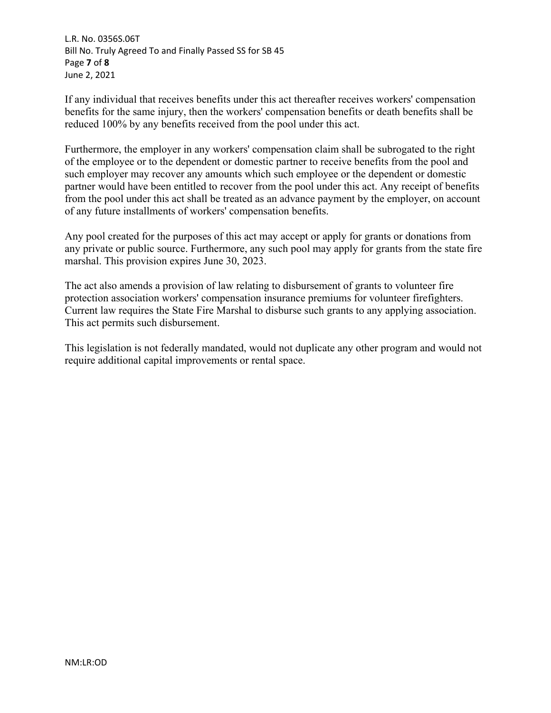L.R. No. 0356S.06T Bill No. Truly Agreed To and Finally Passed SS for SB 45 Page **7** of **8** June 2, 2021

If any individual that receives benefits under this act thereafter receives workers' compensation benefits for the same injury, then the workers' compensation benefits or death benefits shall be reduced 100% by any benefits received from the pool under this act.

Furthermore, the employer in any workers' compensation claim shall be subrogated to the right of the employee or to the dependent or domestic partner to receive benefits from the pool and such employer may recover any amounts which such employee or the dependent or domestic partner would have been entitled to recover from the pool under this act. Any receipt of benefits from the pool under this act shall be treated as an advance payment by the employer, on account of any future installments of workers' compensation benefits.

Any pool created for the purposes of this act may accept or apply for grants or donations from any private or public source. Furthermore, any such pool may apply for grants from the state fire marshal. This provision expires June 30, 2023.

The act also amends a provision of law relating to disbursement of grants to volunteer fire protection association workers' compensation insurance premiums for volunteer firefighters. Current law requires the State Fire Marshal to disburse such grants to any applying association. This act permits such disbursement.

This legislation is not federally mandated, would not duplicate any other program and would not require additional capital improvements or rental space.